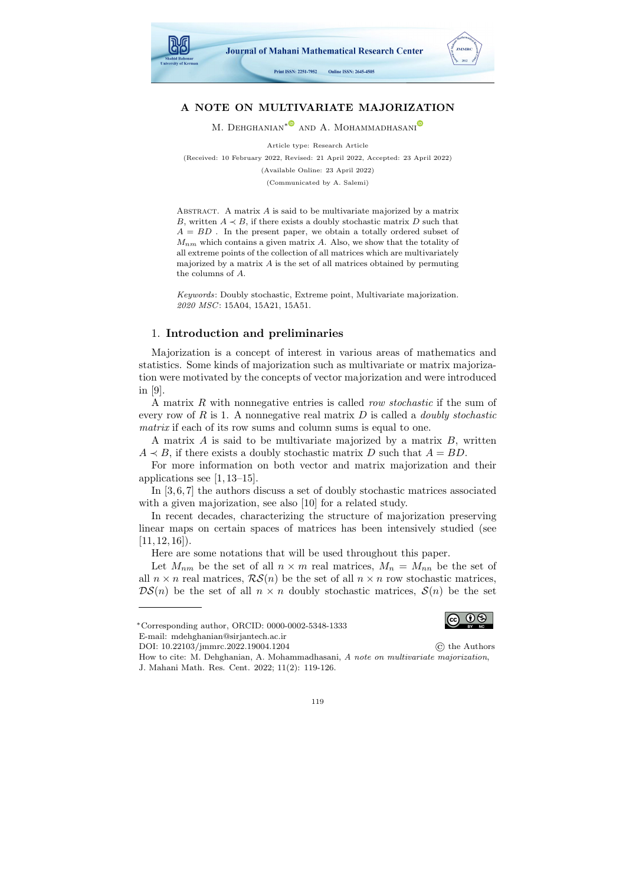

# A NOTE ON MULTIVARIATE MAJORIZATION

M. DEHGHANIAN<sup>[∗](https://orcid.org/0000-0002-5348-1333)©</sup> AND A. MOHAMMADHASANI<sup>®</sup>

Article type: Research Article

(Received: 10 February 2022, Revised: 21 April 2022, Accepted: 23 April 2022)

(Available Online: 23 April 2022)

(Communicated by A. Salemi)

ABSTRACT. A matrix  $A$  is said to be multivariate majorized by a matrix B, written  $A \prec B$ , if there exists a doubly stochastic matrix D such that  $A = BD$ . In the present paper, we obtain a totally ordered subset of  $M_{nm}$  which contains a given matrix A. Also, we show that the totality of all extreme points of the collection of all matrices which are multivariately majorized by a matrix  $A$  is the set of all matrices obtained by permuting the columns of A.

Keywords: Doubly stochastic, Extreme point, Multivariate majorization. 2020 MSC: 15A04, 15A21, 15A51.

### 1. Introduction and preliminaries

Majorization is a concept of interest in various areas of mathematics and statistics. Some kinds of majorization such as multivariate or matrix majorization were motivated by the concepts of vector majorization and were introduced in [\[9\]](#page-7-0).

A matrix R with nonnegative entries is called row stochastic if the sum of every row of R is 1. A nonnegative real matrix  $D$  is called a *doubly stochastic* matrix if each of its row sums and column sums is equal to one.

A matrix  $A$  is said to be multivariate majorized by a matrix  $B$ , written  $A \prec B$ , if there exists a doubly stochastic matrix D such that  $A = BD$ .

For more information on both vector and matrix majorization and their applications see [\[1,](#page-7-1) [13](#page-7-2)[–15\]](#page-7-3).

In [\[3,](#page-7-4) [6,](#page-7-5) [7\]](#page-7-6) the authors discuss a set of doubly stochastic matrices associated with a given majorization, see also [\[10\]](#page-7-7) for a related study.

In recent decades, characterizing the structure of majorization preserving linear maps on certain spaces of matrices has been intensively studied (see  $[11, 12, 16]$  $[11, 12, 16]$  $[11, 12, 16]$ .

Here are some notations that will be used throughout this paper.

Let  $M_{nm}$  be the set of all  $n \times m$  real matrices,  $M_n = M_{nn}$  be the set of all  $n \times n$  real matrices,  $\mathcal{RS}(n)$  be the set of all  $n \times n$  row stochastic matrices,  $DS(n)$  be the set of all  $n \times n$  doubly stochastic matrices,  $S(n)$  be the set



<sup>∗</sup>Corresponding author, ORCID: 0000-0002-5348-1333

E-mail: mdehghanian@sirjantech.ac.ir DOI: [10.22103/jmmrc.2022.19004.1204](https://jmmrc.uk.ac.ir/article_3265.html) © the Authors

How to cite: M. Dehghanian, A. Mohammadhasani, A note on multivariate majorization, J. Mahani Math. Res. Cent. 2022; 11(2): 119-126.

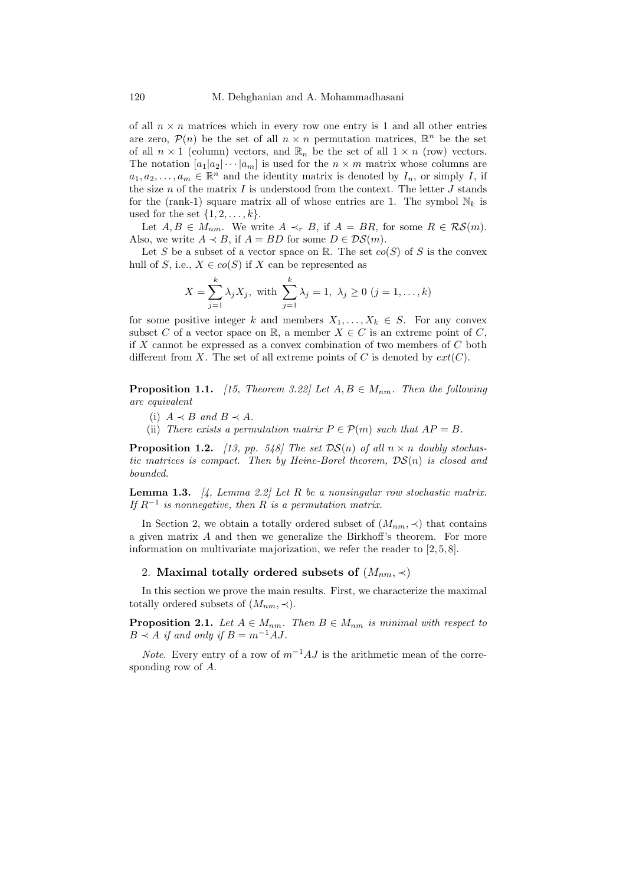of all  $n \times n$  matrices which in every row one entry is 1 and all other entries are zero,  $\mathcal{P}(n)$  be the set of all  $n \times n$  permutation matrices,  $\mathbb{R}^n$  be the set of all  $n \times 1$  (column) vectors, and  $\mathbb{R}_n$  be the set of all  $1 \times n$  (row) vectors. The notation  $[a_1|a_2|\cdots|a_m]$  is used for the  $n \times m$  matrix whose columns are  $a_1, a_2, \ldots, a_m \in \mathbb{R}^n$  and the identity matrix is denoted by  $I_n$ , or simply I, if the size  $n$  of the matrix  $I$  is understood from the context. The letter  $J$  stands for the (rank-1) square matrix all of whose entries are 1. The symbol  $\mathbb{N}_k$  is used for the set  $\{1, 2, \ldots, k\}.$ 

Let  $A, B \in M_{nm}$ . We write  $A \prec_r B$ , if  $A = BR$ , for some  $R \in \mathcal{RS}(m)$ . Also, we write  $A \prec B$ , if  $A = BD$  for some  $D \in \mathcal{DS}(m)$ .

Let S be a subset of a vector space on  $\mathbb{R}$ . The set  $co(S)$  of S is the convex hull of S, i.e.,  $X \in co(S)$  if X can be represented as

$$
X = \sum_{j=1}^{k} \lambda_j X_j, \text{ with } \sum_{j=1}^{k} \lambda_j = 1, \lambda_j \ge 0 \ (j = 1, ..., k)
$$

for some positive integer k and members  $X_1, \ldots, X_k \in S$ . For any convex subset C of a vector space on R, a member  $X \in C$  is an extreme point of C, if X cannot be expressed as a convex combination of two members of  $C$  both different from X. The set of all extreme points of C is denoted by  $ext(C)$ .

<span id="page-1-0"></span>**Proposition 1.1.** [\[15,](#page-7-3) Theorem 3.22] Let  $A, B \in M_{nm}$ . Then the following are equivalent

- (i)  $A \prec B$  and  $B \prec A$ .
- (ii) There exists a permutation matrix  $P \in \mathcal{P}(m)$  such that  $AP = B$ .

<span id="page-1-1"></span>**Proposition 1.2.** [\[13,](#page-7-2) pp. 548] The set  $DS(n)$  of all  $n \times n$  doubly stochastic matrices is compact. Then by Heine-Borel theorem,  $DS(n)$  is closed and bounded.

<span id="page-1-2"></span>**Lemma 1.3.** [\[4,](#page-7-11) Lemma 2.2] Let R be a nonsingular row stochastic matrix. If  $R^{-1}$  is nonnegative, then R is a permutation matrix.

In Section 2, we obtain a totally ordered subset of  $(M_{nm}, \prec)$  that contains a given matrix  $A$  and then we generalize the Birkhoff's theorem. For more information on multivariate majorization, we refer the reader to [\[2,](#page-7-12) [5,](#page-7-13) [8\]](#page-7-14).

# 2. Maximal totally ordered subsets of  $(M_{nm}, \prec)$

In this section we prove the main results. First, we characterize the maximal totally ordered subsets of  $(M_{nm}, \prec)$ .

**Proposition 2.1.** Let  $A \in M_{nm}$ . Then  $B \in M_{nm}$  is minimal with respect to  $B \prec A$  if and only if  $B = m^{-1}AJ$ .

*Note.* Every entry of a row of  $m^{-1}AJ$  is the arithmetic mean of the corresponding row of A.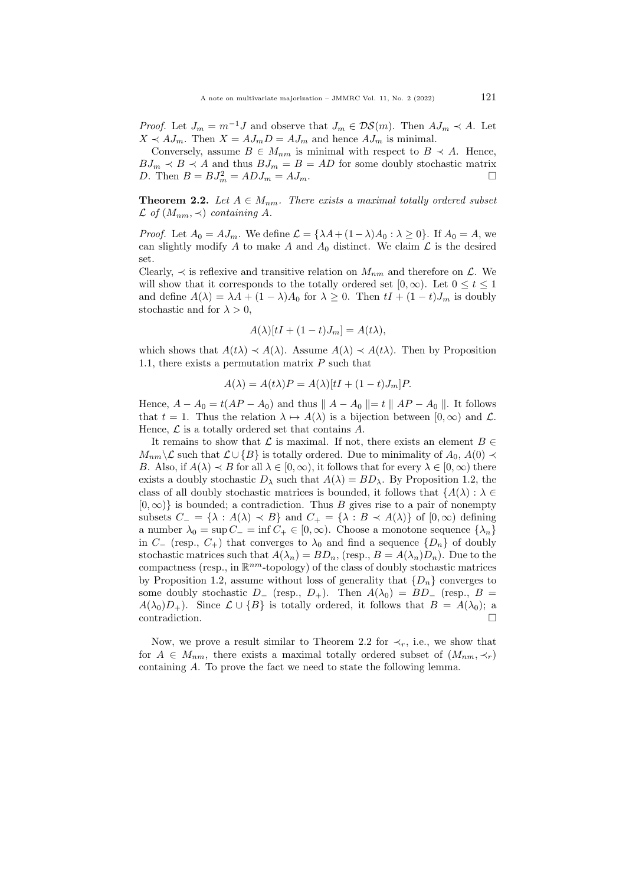*Proof.* Let  $J_m = m^{-1}J$  and observe that  $J_m \in \mathcal{DS}(m)$ . Then  $AJ_m \prec A$ . Let  $X \prec AJ_m$ . Then  $X = AJ_mD = AJ_m$  and hence  $AJ_m$  is minimal.

Conversely, assume  $B \in M_{nm}$  is minimal with respect to  $B \prec A$ . Hence,  $BJ_m \prec B \prec A$  and thus  $BJ_m = B = AD$  for some doubly stochastic matrix D. Then  $B = BJ_m^2 = ADJ_m = AJ_m$ .

<span id="page-2-0"></span>**Theorem 2.2.** Let  $A \in M_{nm}$ . There exists a maximal totally ordered subset  $\mathcal L$  of  $(M_{nm}, \prec)$  containing A.

*Proof.* Let  $A_0 = AJ_m$ . We define  $\mathcal{L} = {\lambda A + (1 - \lambda)A_0 : \lambda \geq 0}$ . If  $A_0 = A$ , we can slightly modify A to make A and  $A_0$  distinct. We claim  $\mathcal L$  is the desired set.

Clearly,  $\prec$  is reflexive and transitive relation on  $M_{nm}$  and therefore on  $\mathcal{L}$ . We will show that it corresponds to the totally ordered set  $[0, \infty)$ . Let  $0 \le t \le 1$ and define  $A(\lambda) = \lambda A + (1 - \lambda)A_0$  for  $\lambda \geq 0$ . Then  $tI + (1 - t)J_m$  is doubly stochastic and for  $\lambda > 0$ ,

$$
A(\lambda)[tI + (1-t)J_m] = A(t\lambda),
$$

which shows that  $A(t\lambda) \prec A(\lambda)$ . Assume  $A(\lambda) \prec A(t\lambda)$ . Then by Proposition [1.1,](#page-1-0) there exists a permutation matrix  $P$  such that

$$
A(\lambda) = A(t\lambda)P = A(\lambda)[tI + (1-t)J_m]P.
$$

Hence,  $A - A_0 = t(AP - A_0)$  and thus  $|| A - A_0 || = t || AP - A_0 ||$ . It follows that  $t = 1$ . Thus the relation  $\lambda \mapsto A(\lambda)$  is a bijection between  $[0, \infty)$  and  $\mathcal{L}$ . Hence,  $\mathcal L$  is a totally ordered set that contains  $A$ .

It remains to show that  $\mathcal L$  is maximal. If not, there exists an element  $B \in$  $M_{nm}\mathcal{L}$  such that  $\mathcal{L} \cup \{B\}$  is totally ordered. Due to minimality of  $A_0$ ,  $A(0) \prec$ B. Also, if  $A(\lambda) \prec B$  for all  $\lambda \in [0,\infty)$ , it follows that for every  $\lambda \in [0,\infty)$  there exists a doubly stochastic  $D_{\lambda}$  such that  $A(\lambda) = BD_{\lambda}$ . By Proposition [1.2,](#page-1-1) the class of all doubly stochastic matrices is bounded, it follows that  ${A(\lambda) : \lambda \in \mathbb{R}^n}$  $[0, \infty)$  is bounded; a contradiction. Thus B gives rise to a pair of nonempty subsets  $C_ = {\lambda : A(\lambda) \prec B}$  and  $C_+ = {\lambda : B \prec A(\lambda)}$  of  $[0, \infty)$  defining a number  $\lambda_0 = \sup C_-=\inf C_+ \in [0,\infty)$ . Choose a monotone sequence  $\{\lambda_n\}$ in  $C_{-}$  (resp.,  $C_{+}$ ) that converges to  $\lambda_0$  and find a sequence  $\{D_n\}$  of doubly stochastic matrices such that  $A(\lambda_n) = BD_n$ , (resp.,  $B = A(\lambda_n)D_n$ ). Due to the compactness (resp., in  $\mathbb{R}^{nm}$ -topology) of the class of doubly stochastic matrices by Proposition [1.2,](#page-1-1) assume without loss of generality that  $\{D_n\}$  converges to some doubly stochastic  $D_{-}$  (resp.,  $D_{+}$ ). Then  $A(\lambda_0) = BD_{-}$  (resp.,  $B =$  $A(\lambda_0)D_+$ ). Since  $\mathcal{L} \cup \{B\}$  is totally ordered, it follows that  $B = A(\lambda_0)$ ; a contradiction contradiction.

Now, we prove a result similar to Theorem [2.2](#page-2-0) for  $\prec_r$ , i.e., we show that for  $A \in M_{nm}$ , there exists a maximal totally ordered subset of  $(M_{nm}, \prec_r)$ containing A. To prove the fact we need to state the following lemma.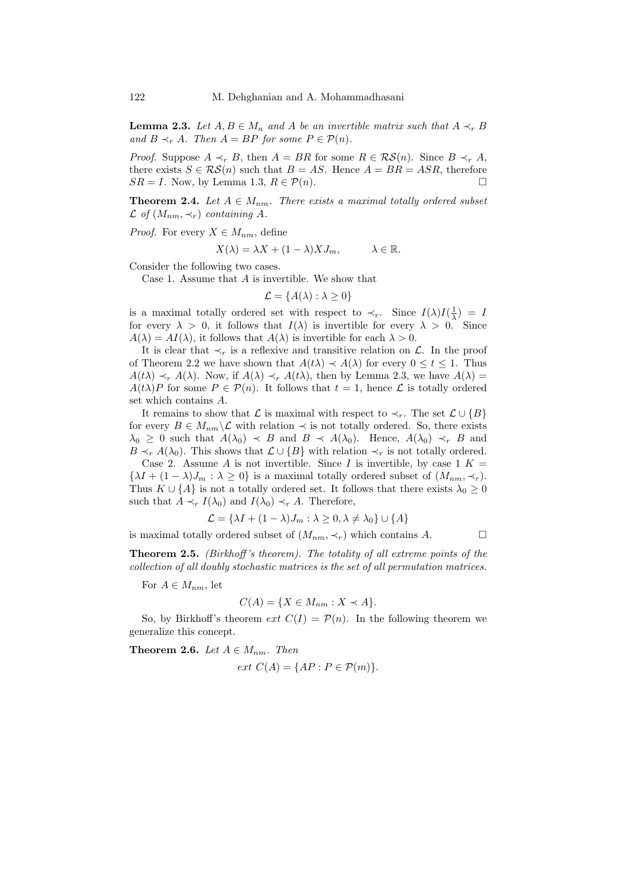<span id="page-3-0"></span>**Lemma 2.3.** Let  $A, B \in M_n$  and A be an invertible matrix such that  $A \prec_r B$ and  $B \prec_r A$ . Then  $A = BP$  for some  $P \in \mathcal{P}(n)$ .

*Proof.* Suppose  $A \prec_r B$ , then  $A = BR$  for some  $R \in \mathcal{RS}(n)$ . Since  $B \prec_r A$ , there exists  $S \in \mathcal{RS}(n)$  such that  $B = AS$ . Hence  $A = BR = ASR$ , therefore  $SR = I$ . Now, by Lemma [1.3,](#page-1-2)  $R \in \mathcal{P}(n)$ .

**Theorem 2.4.** Let  $A \in M_{nm}$ . There exists a maximal totally ordered subset  $\mathcal L$  of  $(M_{nm}, \prec_r)$  containing A.

*Proof.* For every  $X \in M_{nm}$ , define

$$
X(\lambda) = \lambda X + (1 - \lambda) X J_m, \qquad \lambda \in \mathbb{R}.
$$

Consider the following two cases.

Case 1. Assume that A is invertible. We show that

$$
\mathcal{L} = \{A(\lambda) : \lambda \ge 0\}
$$

is a maximal totally ordered set with respect to  $\prec_r$ . Since  $I(\lambda)I(\frac{1}{\lambda}) = I$ for every  $\lambda > 0$ , it follows that  $I(\lambda)$  is invertible for every  $\lambda > 0$ . Since  $A(\lambda) = AI(\lambda)$ , it follows that  $A(\lambda)$  is invertible for each  $\lambda > 0$ .

It is clear that  $\prec_r$  is a reflexive and transitive relation on L. In the proof of Theorem [2.2](#page-2-0) we have shown that  $A(t\lambda) \prec A(\lambda)$  for every  $0 \le t \le 1$ . Thus  $A(t\lambda) \prec_r A(\lambda)$ . Now, if  $A(\lambda) \prec_r A(t\lambda)$ , then by Lemma [2.3,](#page-3-0) we have  $A(\lambda)$  =  $A(t\lambda)P$  for some  $P \in \mathcal{P}(n)$ . It follows that  $t = 1$ , hence  $\mathcal L$  is totally ordered set which contains A.

It remains to show that  $\mathcal L$  is maximal with respect to  $\prec_r$ . The set  $\mathcal L \cup \{B\}$ for every  $B \in M_{nm} \backslash \mathcal{L}$  with relation  $\prec$  is not totally ordered. So, there exists  $\lambda_0 \geq 0$  such that  $A(\lambda_0) \prec B$  and  $B \prec A(\lambda_0)$ . Hence,  $A(\lambda_0) \prec_r B$  and  $B \prec_r A(\lambda_0)$ . This shows that  $\mathcal{L} \cup \{B\}$  with relation  $\prec_r$  is not totally ordered.

Case 2. Assume A is not invertible. Since I is invertible, by case  $1 K =$  $\{\lambda I + (1 - \lambda)J_m : \lambda \geq 0\}$  is a maximal totally ordered subset of  $(M_{nm}, \prec_r)$ . Thus  $K \cup \{A\}$  is not a totally ordered set. It follows that there exists  $\lambda_0 \geq 0$ such that  $A \prec_r I(\lambda_0)$  and  $I(\lambda_0) \prec_r A$ . Therefore,

$$
\mathcal{L} = \{ \lambda I + (1 - \lambda)J_m : \lambda \ge 0, \lambda \ne \lambda_0 \} \cup \{ A \}
$$

is maximal totally ordered subset of  $(M_{nm}, \prec_r)$  which contains A.

Theorem 2.5. (Birkhoff 's theorem). The totality of all extreme points of the collection of all doubly stochastic matrices is the set of all permutation matrices.

For  $A \in M_{nm}$ , let

$$
C(A) = \{ X \in M_{nm} : X \prec A \}.
$$

So, by Birkhoff's theorem ext  $C(I) = \mathcal{P}(n)$ . In the following theorem we generalize this concept.

<span id="page-3-1"></span>**Theorem 2.6.** Let  $A \in M_{nm}$ . Then

$$
ext C(A) = \{AP : P \in \mathcal{P}(m)\}.
$$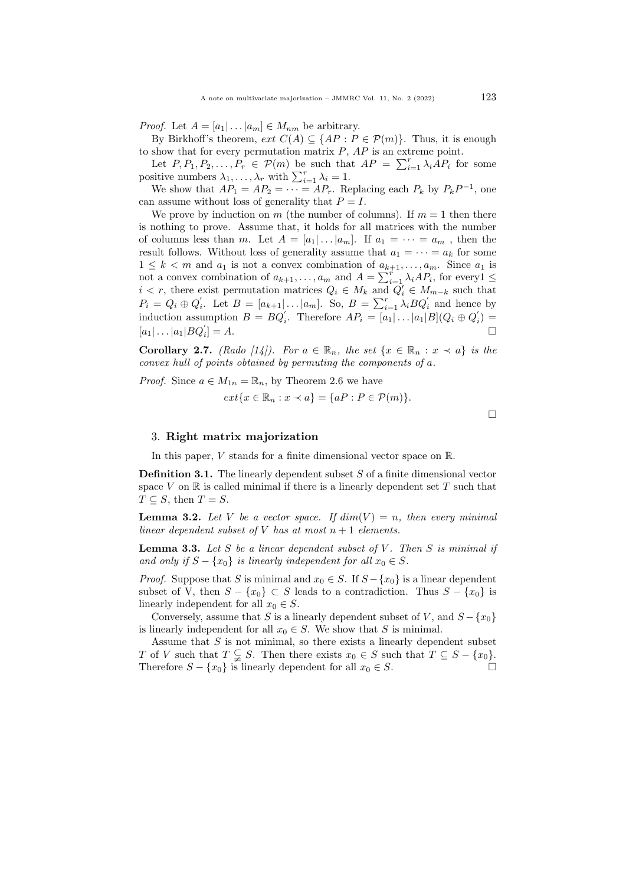*Proof.* Let  $A = [a_1 | \dots | a_m] \in M_{nm}$  be arbitrary.

By Birkhoff's theorem,  $ext C(A) \subseteq \{AP : P \in \mathcal{P}(m)\}\$ . Thus, it is enough to show that for every permutation matrix  $P$ ,  $AP$  is an extreme point.

Let  $P, P_1, P_2, \ldots, P_r \in \mathcal{P}(m)$  be such that  $AP = \sum_{i=1}^r \lambda_i AP_i$  for some positive numbers  $\lambda_1, \ldots, \lambda_r$  with  $\sum_{i=1}^r \lambda_i = 1$ .

We show that  $AP_1 = AP_2 = \cdots = AP_r$ . Replacing each  $P_k$  by  $P_kP^{-1}$ , one can assume without loss of generality that  $P = I$ .

We prove by induction on m (the number of columns). If  $m = 1$  then there is nothing to prove. Assume that, it holds for all matrices with the number of columns less than m. Let  $A = [a_1| \dots | a_m]$ . If  $a_1 = \dots = a_m$ , then the result follows. Without loss of generality assume that  $a_1 = \cdots = a_k$  for some  $1 \leq k < m$  and  $a_1$  is not a convex combination of  $a_{k+1}, \ldots, a_m$ . Since  $a_1$  is not a convex combination of  $a_{k+1}, \ldots, a_m$  and  $A = \sum_{i=1}^r \lambda_i A P_i$ , for every  $1 \leq$  $i < r$ , there exist permutation matrices  $Q_i \in M_k$  and  $Q'_i \in M_{m-k}$  such that  $P_i = Q_i \oplus Q'_i$ . Let  $B = [a_{k+1} | \dots | a_m]$ . So,  $B = \sum_{i=1}^r \lambda_i B Q'_i$  and hence by induction assumption  $B = BQ_i'$ . Therefore  $AP_i = [a_1 | \dots | a_1 | B](Q_i \oplus Q_i') =$  $[a_1 | \dots | a_1 | BQ_i]$  $]=A.$ 

Corollary 2.7. (Rado [\[14\]](#page-7-15)). For  $a \in \mathbb{R}_n$ , the set  $\{x \in \mathbb{R}_n : x \prec a\}$  is the convex hull of points obtained by permuting the components of a.

*Proof.* Since  $a \in M_{1n} = \mathbb{R}_n$ , by Theorem [2.6](#page-3-1) we have  $ext{x \in \mathbb{R}_n : x \prec a} = \{aP : P \in \mathcal{P}(m)\}.$ 

 $\Box$ 

#### 3. Right matrix majorization

In this paper, V stands for a finite dimensional vector space on  $\mathbb{R}$ .

Definition 3.1. The linearly dependent subset S of a finite dimensional vector space  $V$  on  $\mathbb R$  is called minimal if there is a linearly dependent set  $T$  such that  $T \subseteq S$ , then  $T = S$ .

**Lemma 3.2.** Let V be a vector space. If  $dim(V) = n$ , then every minimal linear dependent subset of V has at most  $n+1$  elements.

<span id="page-4-0"></span>**Lemma 3.3.** Let S be a linear dependent subset of V. Then S is minimal if and only if  $S - \{x_0\}$  is linearly independent for all  $x_0 \in S$ .

*Proof.* Suppose that S is minimal and  $x_0 \in S$ . If  $S - \{x_0\}$  is a linear dependent subset of V, then  $S - \{x_0\} \subset S$  leads to a contradiction. Thus  $S - \{x_0\}$  is linearly independent for all  $x_0 \in S$ .

Conversely, assume that S is a linearly dependent subset of V, and  $S - \{x_0\}$ is linearly independent for all  $x_0 \in S$ . We show that S is minimal.

Assume that  $S$  is not minimal, so there exists a linearly dependent subset T of V such that  $T \subsetneq S$ . Then there exists  $x_0 \in S$  such that  $T \subseteq S - \{x_0\}$ . Therefore  $S - \{x_0\}$  is linearly dependent for all  $x_0 \in S$ .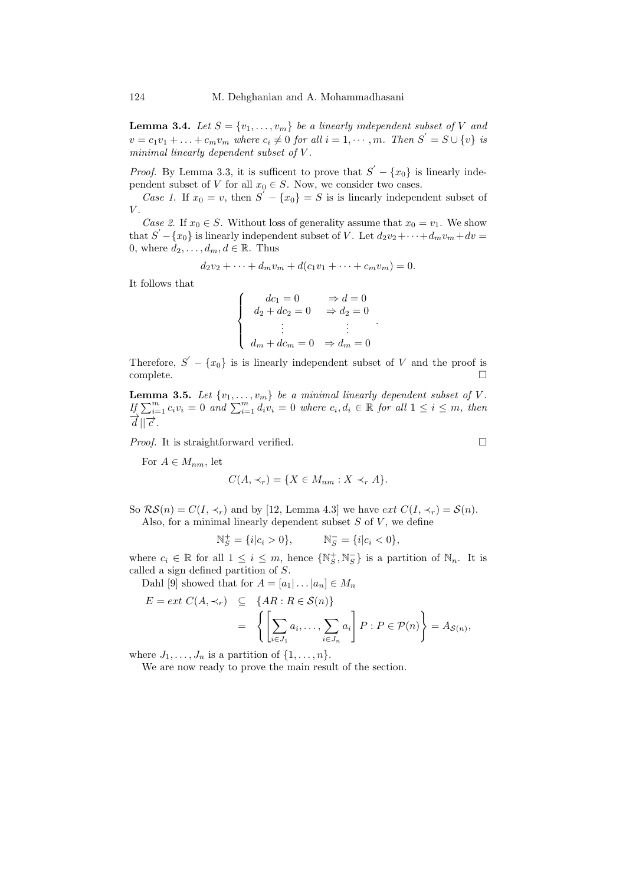**Lemma 3.4.** Let  $S = \{v_1, \ldots, v_m\}$  be a linearly independent subset of V and  $v = c_1v_1 + \ldots + c_mv_m$  where  $c_i \neq 0$  for all  $i = 1, \cdots, m$ . Then  $S' = S \cup \{v\}$  is minimal linearly dependent subset of V.

*Proof.* By Lemma [3.3,](#page-4-0) it is sufficent to prove that  $S' - \{x_0\}$  is linearly independent subset of V for all  $x_0 \in S$ . Now, we consider two cases.

Case 1. If  $x_0 = v$ , then  $S' - \{x_0\} = S$  is is linearly independent subset of  $\bar{V}$ .

Case 2. If  $x_0 \in S$ . Without loss of generality assume that  $x_0 = v_1$ . We show that  $S' - \{x_0\}$  is linearly independent subset of V. Let  $d_2v_2 + \cdots + d_mv_m + dv =$ 0, where  $d_2, \ldots, d_m, d \in \mathbb{R}$ . Thus

$$
d_2v_2 + \dots + d_mv_m + d(c_1v_1 + \dots + c_mv_m) = 0.
$$

It follows that

$$
\begin{cases}\n dc_1 = 0 & \Rightarrow d = 0 \\
d_2 + dc_2 = 0 & \Rightarrow d_2 = 0 \\
\vdots & \vdots \\
d_m + dc_m = 0 & \Rightarrow d_m = 0\n\end{cases}
$$

Therefore,  $S' - \{x_0\}$  is is linearly independent subset of V and the proof is complete.

**Lemma 3.5.** Let  $\{v_1, \ldots, v_m\}$  be a minimal linearly dependent subset of V.  $I_{\{}\sum_{i=1}^{m} c_i v_i = 0 \text{ and } \sum_{i=1}^{m} d_i v_i = 0 \text{ where } c_i, d_i \in \mathbb{R} \text{ for all } 1 \leq i \leq m, \text{ then}$  $\overrightarrow{d}||\overrightarrow{c}$ .

*Proof.* It is straightforward verified.  $\Box$ 

For  $A \in M_{nm}$ , let

$$
C(A, \prec_r) = \{ X \in M_{nm} : X \prec_r A \}.
$$

So  $\mathcal{RS}(n) = C(I, \prec_r)$  and by [\[12,](#page-7-9) Lemma 4.3] we have  $ext C(I, \prec_r) = \mathcal{S}(n)$ . Also, for a minimal linearly dependent subset  $S$  of  $V$ , we define

$$
\mathbb{N}_S^+ = \{i | c_i > 0\}, \qquad \mathbb{N}_S^- = \{i | c_i < 0\},\
$$

where  $c_i \in \mathbb{R}$  for all  $1 \leq i \leq m$ , hence  $\{ \mathbb{N}_S^+, \mathbb{N}_S^- \}$  is a partition of  $\mathbb{N}_n$ . It is called a sign defined partition of S.

Dahl [\[9\]](#page-7-0) showed that for  $A = [a_1 | \dots | a_n] \in M_n$ 

$$
E = ext C(A, \prec_r) \subseteq \{AR : R \in \mathcal{S}(n)\}
$$
  
= 
$$
\left\{ \left[ \sum_{i \in J_1} a_i, \dots, \sum_{i \in J_n} a_i \right] P : P \in \mathcal{P}(n) \right\} = A_{\mathcal{S}(n)},
$$

where  $J_1, \ldots, J_n$  is a partition of  $\{1, \ldots, n\}$ .

We are now ready to prove the main result of the section.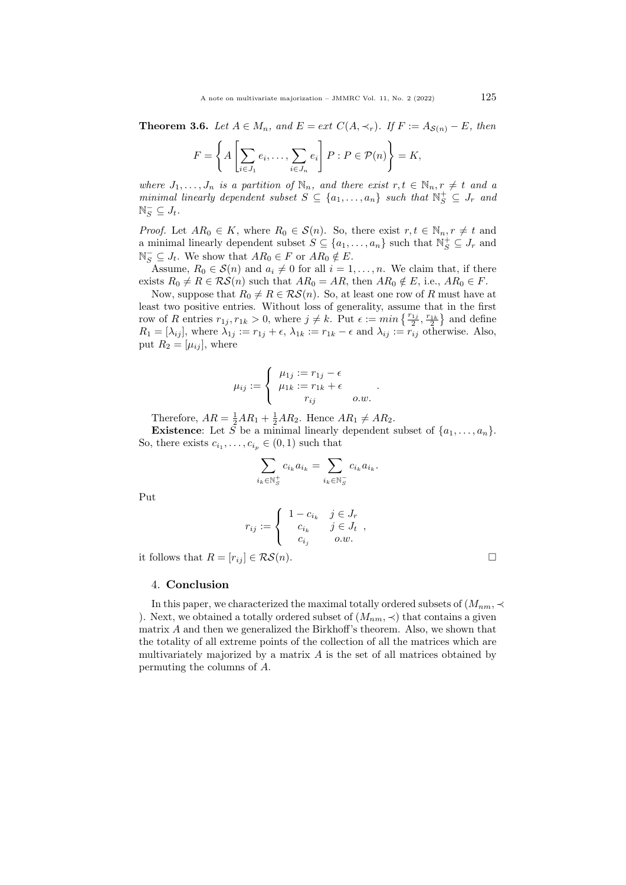**Theorem 3.6.** Let  $A \in M_n$ , and  $E = ext C(A, \prec_r)$ . If  $F := A_{\mathcal{S}(n)} - E$ , then

$$
F = \left\{ A \left[ \sum_{i \in J_1} e_i, \dots, \sum_{i \in J_n} e_i \right] P : P \in \mathcal{P}(n) \right\} = K,
$$

where  $J_1, \ldots, J_n$  is a partition of  $\mathbb{N}_n$ , and there exist  $r, t \in \mathbb{N}_n, r \neq t$  and a minimal linearly dependent subset  $S \subseteq \{a_1, \ldots, a_n\}$  such that  $\mathbb{N}_S^+ \subseteq J_r$  and  $\mathbb{N}_S^- \subseteq J_t$ .

*Proof.* Let  $AR_0 \in K$ , where  $R_0 \in \mathcal{S}(n)$ . So, there exist  $r, t \in \mathbb{N}_n, r \neq t$  and a minimal linearly dependent subset  $S \subseteq \{a_1, \ldots, a_n\}$  such that  $\mathbb{N}_S^+ \subseteq J_r$  and  $\mathbb{N}_S^- \subseteq J_t$ . We show that  $AR_0 \in F$  or  $AR_0 \notin E$ .

Assume,  $R_0 \in \mathcal{S}(n)$  and  $a_i \neq 0$  for all  $i = 1, \ldots, n$ . We claim that, if there exists  $R_0 \neq R \in \mathcal{RS}(n)$  such that  $AR_0 = AR$ , then  $AR_0 \notin E$ , i.e.,  $AR_0 \in F$ .

Now, suppose that  $R_0 \neq R \in \mathcal{RS}(n)$ . So, at least one row of R must have at least two positive entries. Without loss of generality, assume that in the first row of R entries  $r_{1j}$ ,  $r_{1k} > 0$ , where  $j \neq k$ . Put  $\epsilon := \min\left\{\frac{r_{1j}}{2}, \frac{r_{1k}}{2}\right\}$  and define  $R_1 = [\lambda_{ij}]$ , where  $\lambda_{1j} := r_{1j} + \epsilon$ ,  $\lambda_{1k} := r_{1k} - \epsilon$  and  $\lambda_{ij} := r_{ij}$  otherwise. Also, put  $R_2 = [\mu_{ij}]$ , where

$$
\mu_{ij} := \begin{cases} \mu_{1j} := r_{1j} - \epsilon \\ \mu_{1k} := r_{1k} + \epsilon \\ r_{ij} & o.w. \end{cases}.
$$

Therefore,  $AR = \frac{1}{2}AR_1 + \frac{1}{2}AR_2$ . Hence  $AR_1 \neq AR_2$ .

**Existence:** Let  $\tilde{S}$  be a minimal linearly dependent subset of  $\{a_1, \ldots, a_n\}$ . So, there exists  $c_{i_1}, \ldots, c_{i_p} \in (0,1)$  such that

$$
\sum_{i_k \in \mathbb{N}_S^+} c_{i_k} a_{i_k} = \sum_{i_k \in \mathbb{N}_S^-} c_{i_k} a_{i_k}.
$$

,

Put

$$
r_{ij} := \begin{cases} 1 - c_{i_k} & j \in J_r \\ c_{i_k} & j \in J_t \\ c_{i_j} & o.w. \end{cases}
$$

it follows that  $R = [r_{ij}] \in \mathcal{RS}(n)$ .

4. Conclusion

In this paper, we characterized the maximal totally ordered subsets of  $(M_{nm}, \prec$ ). Next, we obtained a totally ordered subset of  $(M_{nm}, \prec)$  that contains a given matrix A and then we generalized the Birkhoff's theorem. Also, we shown that the totality of all extreme points of the collection of all the matrices which are multivariately majorized by a matrix  $A$  is the set of all matrices obtained by permuting the columns of A.